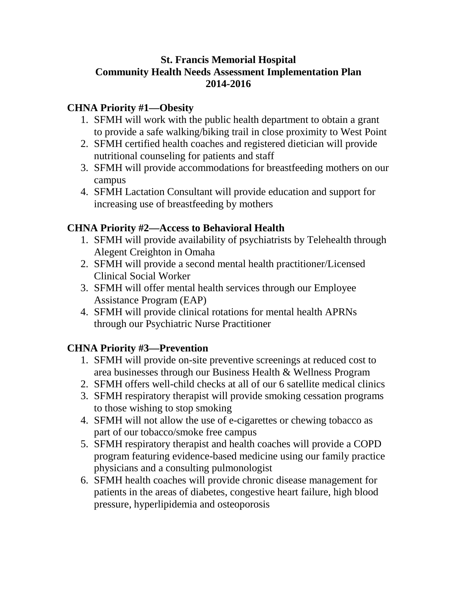### **St. Francis Memorial Hospital Community Health Needs Assessment Implementation Plan 2014-2016**

## **CHNA Priority #1—Obesity**

- 1. SFMH will work with the public health department to obtain a grant to provide a safe walking/biking trail in close proximity to West Point
- 2. SFMH certified health coaches and registered dietician will provide nutritional counseling for patients and staff
- 3. SFMH will provide accommodations for breastfeeding mothers on our campus
- 4. SFMH Lactation Consultant will provide education and support for increasing use of breastfeeding by mothers

## **CHNA Priority #2—Access to Behavioral Health**

- 1. SFMH will provide availability of psychiatrists by Telehealth through Alegent Creighton in Omaha
- 2. SFMH will provide a second mental health practitioner/Licensed Clinical Social Worker
- 3. SFMH will offer mental health services through our Employee Assistance Program (EAP)
- 4. SFMH will provide clinical rotations for mental health APRNs through our Psychiatric Nurse Practitioner

# **CHNA Priority #3—Prevention**

- 1. SFMH will provide on-site preventive screenings at reduced cost to area businesses through our Business Health & Wellness Program
- 2. SFMH offers well-child checks at all of our 6 satellite medical clinics
- 3. SFMH respiratory therapist will provide smoking cessation programs to those wishing to stop smoking
- 4. SFMH will not allow the use of e-cigarettes or chewing tobacco as part of our tobacco/smoke free campus
- 5. SFMH respiratory therapist and health coaches will provide a COPD program featuring evidence-based medicine using our family practice physicians and a consulting pulmonologist
- 6. SFMH health coaches will provide chronic disease management for patients in the areas of diabetes, congestive heart failure, high blood pressure, hyperlipidemia and osteoporosis